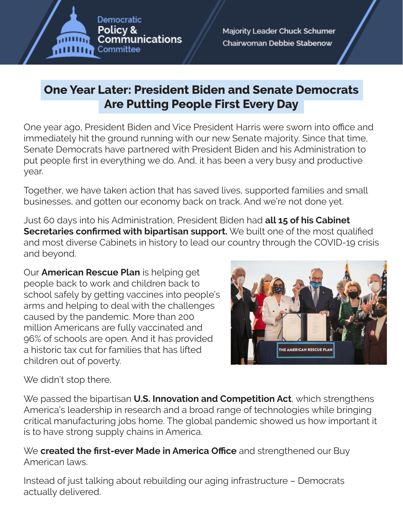

## **One Year Later: President Biden and Senate Democrats Are Putting People First Every Day**

One year ago, President Biden and Vice President Harris were sworn into office and immediately hit the ground running with our new Senate majority. Since that time, Senate Democrats have partnered with President Biden and his Administration to put people frst in everything we do. And, it has been a very busy and productive year.

Together, we have taken action that has saved lives, supported families and small businesses, and gotten our economy back on track. And we're not done yet.

Just 60 days into his Administration, President Biden had **all 15 of his Cabinet Secretaries confirmed with bipartisan support.** We built one of the most qualified and most diverse Cabinets in history to lead our country through the COVID-19 crisis and beyond.

Our **American Rescue Plan** is helping get people back to work and children back to school safely by getting vaccines into people's arms and helping to deal with the challenges caused by the pandemic. More than 200 million Americans are fully vaccinated and 96% of schools are open. And it has provided a historic tax cut for families that has lifted children out of poverty.



We didn't stop there.

We passed the bipartisan **U.S. Innovation and Competition Act**, which strengthens America's leadership in research and a broad range of technologies while bringing critical manufacturing jobs home. The global pandemic showed us how important it is to have strong supply chains in America.

We **created the first-ever Made in America Office** and strengthened our Buy American laws.

Instead of just talking about rebuilding our aging infrastructure – Democrats actually delivered.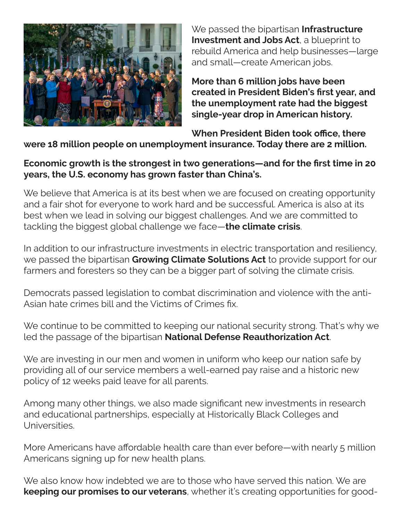

We passed the bipartisan **Infrastructure Investment and Jobs Act**, a blueprint to rebuild America and help businesses—large and small—create American jobs.

**More than 6 million jobs have been created in President Biden's frst year, and the unemployment rate had the biggest single-year drop in American history.**

**When President Biden took office, there** 

**were 18 million people on unemployment insurance. Today there are 2 million.**

## **Economic growth is the strongest in two generations—and for the frst time in 20 years, the U.S. economy has grown faster than China's.**

We believe that America is at its best when we are focused on creating opportunity and a fair shot for everyone to work hard and be successful. America is also at its best when we lead in solving our biggest challenges. And we are committed to tackling the biggest global challenge we face—**the climate crisis**.

In addition to our infrastructure investments in electric transportation and resiliency, we passed the bipartisan **Growing Climate Solutions Act** to provide support for our farmers and foresters so they can be a bigger part of solving the climate crisis.

Democrats passed legislation to combat discrimination and violence with the anti-Asian hate crimes bill and the Victims of Crimes fx.

We continue to be committed to keeping our national security strong. That's why we led the passage of the bipartisan **National Defense Reauthorization Act**.

We are investing in our men and women in uniform who keep our nation safe by providing all of our service members a well-earned pay raise and a historic new policy of 12 weeks paid leave for all parents.

Among many other things, we also made signifcant new investments in research and educational partnerships, especially at Historically Black Colleges and Universities.

More Americans have afordable health care than ever before—with nearly 5 million Americans signing up for new health plans.

We also know how indebted we are to those who have served this nation. We are **keeping our promises to our veterans**, whether it's creating opportunities for good